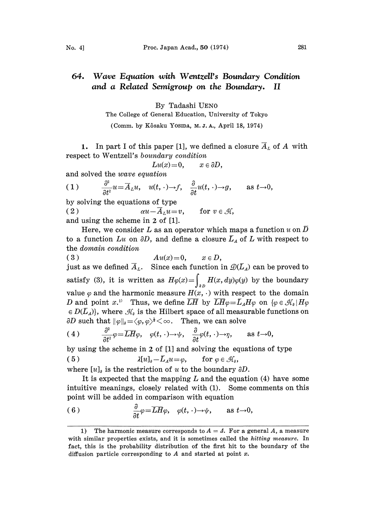## Wave Equation with Wentzell's Boundary Condition 64. and a Related Semigroup on the Boundary. II

## By Tadashi UEN0

The College of General Education, University of Tokyo

(Comm. by Kôsaku Yosina, M.J.A., April 18, 1974)

respect to Wentzell' s boundary condition 1. In part I of this paper [1], we defined a closure  $\overline{A}_L$  of A with

$$
Lu(x)=0, \qquad x\in \partial D,
$$

and solved the wave equation

(1) 
$$
\frac{\partial^2}{\partial t^2}u = \overline{A}_L u, \quad u(t, \cdot) \to f, \quad \frac{\partial}{\partial t}u(t, \cdot) \to g, \quad \text{as } t \to 0,
$$

by solving the equations of type

(2)  $\alpha u - \overline{A}_L u = v$ , for v and using the scheme in 2 of [1].

Here, we consider L as an operator which maps a function u on  $\overline{D}$ to a function  $Lu$  on  $\partial D$ , and define a closure  $\overline{L}_A$  of  $L$  with respect to the domain condition

( 3 )  $Au(x)=0, \quad x \in D,$ just as we defined  $\overline{A}_L$ . Since each function in  $\mathcal{D}(\overline{L}_A)$  can be proved to satisfy (3), it is written as  $H\varphi(x) = \int_{\partial D} H(x, dy)\varphi(y)$  by the boundary value  $\varphi$  and the harmonic measure  $H(x, \cdot)$  with respect to the domain D and point x.<sup>1)</sup> Thus, we define  $\overline{LH}$  by  $\overline{LH}\varphi=\overline{L}_AH\varphi$  on  $\{\varphi\in\mathcal{H}_\vartheta\mid H\varphi\}$  $\in D(L_A)$ , where  $\mathcal{H}_a$  is the Hilbert space of all measurable functions on  $\partial D$  such that  $\|\varphi\|_{\theta} = \langle \varphi, \varphi \rangle^{\frac{1}{2}} \langle \infty$ . Then, we can solve

(4) 
$$
\frac{\partial^2}{\partial t^2} \varphi = \overline{L H} \varphi, \quad \varphi(t, \cdot) \to \psi, \quad \frac{\partial}{\partial t} \varphi(t, \cdot) \to \eta, \quad \text{as } t \to 0,
$$

by using the scheme in 2 of [1] and solving the equations of type

(5) 
$$
\lambda[u]_a - \bar{L}_A u = \varphi, \quad \text{for } \varphi \in \mathcal{H}_a,
$$

where  $[u]_v$  is the restriction of u to the boundary  $\partial D$ .

It is expected that the mapping  $L$  and the equation (4) have some intuitive meanings, closely related with (1). Some comments on this point will be added in comparison with equation

(6) 
$$
\frac{\partial}{\partial t} \varphi = \overline{L} \overline{H} \varphi, \quad \varphi(t, \cdot) \to \psi, \quad \text{as } t \to 0,
$$

<sup>1)</sup> The harmonic measure corresponds to  $A = \Lambda$ . For a general A, a measure with similar properties exists, and it is sometimes called the *hitting measure*. In fact, this is the probability distribution of the first hit to the boundary of the diffusion particle corresponding to  $A$  and started at point  $x$ .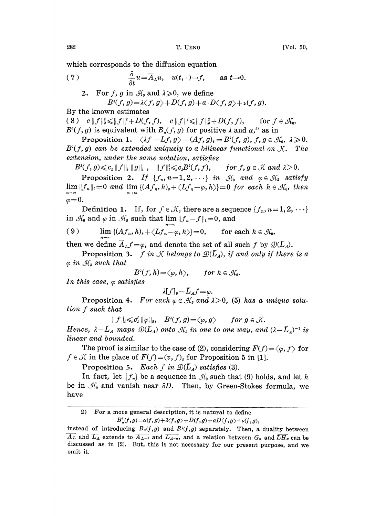which corresponds to the diffusion equation

(7) 
$$
\frac{\partial}{\partial t}u = \overline{A}_L u, \quad u(t, \cdot) \to f, \quad \text{as } t \to 0.
$$

2. For f, g in  $\mathcal{H}_0$  and  $\lambda \geq 0$ , we define  $B^{\lambda}(f, g) = \lambda \langle f, g \rangle + D(f, g) + a \cdot D \langle f, g \rangle + \nu(f, g).$ 

By the known estimates

( 8 ) c  $||f||_{2}^{2} \le ||f||^{2} + D(f, f), c||f||^{2} \le ||f||_{2}^{2} + D(f, f),$  for  $f \in \mathcal{H}_{0}$ ,  $B^{\lambda}(f, g)$  is equivalent with  $B_{\alpha}(f, g)$  for positive  $\lambda$  and  $\alpha$ ,<sup>2</sup> as in

Proposition 1.  $\langle \lambda f - Lf, g \rangle - (Af, g)_s = B^{\lambda}(f, g), f, g \in \mathcal{H}_0, \lambda \geq 0.$  $B^{\lambda}(f, g)$  can be extended uniquely to a bilinear functional on  $\mathcal{K}$ . The extension, under the same notation, satisfies

 $B^{\lambda}(f, g) \leqslant c_{\lambda} \|f\|_{L} \|g\|_{L}$ ,  $\|f\|_{L}^{2} \leqslant c_{\lambda} B^{\lambda}(f, f),$  for  $f, g \in \mathcal{K}$  and  $\lambda > 0$ .

Proposition 2. If  $\{f_n, n=1,2,\cdots\}$  in  $\mathcal{H}_0$  and  $\varphi \in \mathcal{H}_0$  satisfy  $\lim ||f_n||_l = 0$  and  $\lim \{(Af_n, h)_s + \langle Lf_n-\varphi, h \rangle\} = 0$  for each  $h \in \mathcal{H}_0$ , then  $\varphi = 0.$ <br>Definition 1. If, for  $f \in \mathcal{K}$ , there are a sequence  $\{f_n, n=1, 2, \cdots\}$ 

in  $\mathcal{H}_0$  and  $\varphi$  in  $\mathcal{H}_0$  such that lim  $||f_n-f||_l=0$ , and

(9) 
$$
\lim_{n\to\infty} \left\{ (Af_n, h)_s + \langle Lf_n-\varphi, h \rangle \right\} = 0, \quad \text{for each } h \in \mathcal{H}_0,
$$

then we define  $\overline{A}_L f = \varphi$ , and denote the set of all such f by  $\mathcal{D}(\overline{L}_A)$ .

**Proposition 3.** f in K belongs to  $\mathcal{D}(\mathbf{L}_{A})$ , if and only if there is a  $\varphi$  in  $\mathcal{H}_\theta$  such that

$$
B^{\lambda}(f,h) = \langle \varphi, h \rangle, \quad \textit{for } h \in \mathcal{H}_0.
$$

In this case,  $\varphi$  satisfies

$$
\lambda[f]_{\mathfrak{d}} - L_A f = \varphi.
$$

Proposition 4. For each  $\varphi \in \mathcal{H}_\delta$  and  $\lambda > 0$ , (5) has a unique solution f such that

$$
||f||_l \leqslant c'_\lambda ||\varphi||_\partial, \quad B^\lambda(f,g) = \langle \varphi, g \rangle \quad \text{for } g \in \mathcal{K}.
$$

Hence,  $\lambda - L_A$  maps  $\mathcal{D}(L_A)$  onto  $\mathcal{A}_\theta$  in one to one way, and  $(\lambda - L_A)^{-1}$  is<br>
nd bounded.<br>
proof is similar to the case of (2), considering  $F(f) = \langle \varphi, f \rangle$  for<br>
i the place of  $F(f) = \langle v, f \rangle_s$  for Proposition 5 in [1]. linear and bounded.

The proof is similar to the case of (2), considering  $F(f) = \langle \varphi, f \rangle$  for  $f \in \mathcal{K}$  in the place of  $F(f)=(v, f)$  for Proposition 5 in [1].

Proposition 5. Each f in  $\mathcal{D}(\overline{L}_A)$  satisfies (3).

In fact, let  $\{f_n\}$  be a sequence in  $\mathcal{H}_0$  such that (9) holds, and let h be in  $\mathcal{H}_0$  and vanish near  $\partial D$ . Then, by Green-Stokes formula, we have

<sup>2)</sup> For a more general description, it is natural to define  $B_{\alpha}^{\lambda}(f,g) = \alpha(f,g) + \lambda \langle f,g \rangle + D(f,g) + aD \langle f,g \rangle + \nu(f,g),$ 

instead of introducing  $B_{\alpha}(f,g)$  and  $B^{\lambda}(f,g)$  separately. Then, a duality between  $\overline{A_L}$  and  $\overline{L_A}$  extends to  $\overline{A_{L-A}}$  and  $\overline{L_{A-A}}$ , and a relation between  $G_{\alpha}$  and  $\overline{LH_{\alpha}}$  can be discussed as in [2]. But, this is not necessary for our present purpose, and we omit it.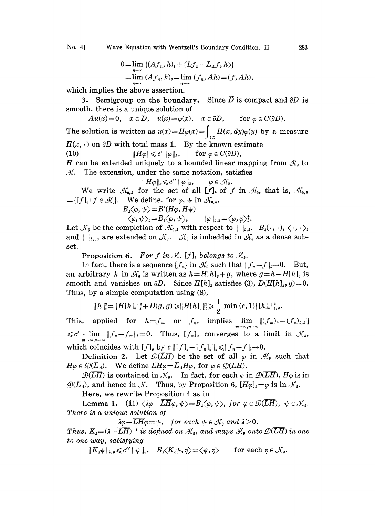$$
0=\lim_{n\to\infty}\left\{(Af_n,h)_s+\langle Lf_n-\bar{L}_Af,h\rangle\right\}=\lim_{n\to\infty}\left(Af_n,h\right)_s=\lim_{n\to\infty}\left(f_n,Ah\right)=(f,Ah),
$$

which implies the above assertion.

3. Semigroup on the boundary. Since  $\overline{D}$  is compact and  $\partial D$  is smooth, there is a unique solution of

 $Au(x)=0$ ,  $x \in D$ ,  $u(x)=\varphi(x)$ ,  $x \in \partial D$ , for  $\varphi \in C(\partial D)$ .

The solution is written as  $u(x)$   $=$   $H\varphi(x)$   $=$   $\int_{^{3D}}$   $H(x, dy)\varphi(y)$  by a measure  $H(x, \cdot)$  on  $\partial D$  with total mass 1. By the known estimate (10)  $||H\varphi|| \leqslant c' ||\varphi||_{\vartheta}$ , for  $\varphi \in C(\partial D)$ ,

H can be extended uniquely to a bounded linear mapping from  $\mathcal{H}_s$  to  $H$ . The extension, under the same notation, satisfies

$$
||H\varphi||_{s} \leqslant c'' \, ||\varphi||_{s}, \qquad \varphi \in \mathcal{H}_{s}.
$$

We write  $\mathcal{H}_{0,\delta}$  for the set of all  $[f]_q$  of f in  $\mathcal{H}_0$ , that is,  $\mathcal{H}_{0,\delta}$  $=[[f]_q | f \in \mathcal{H}_0].$  We define, for  $\varphi$ ,  $\psi$  in  $\mathcal{H}_{0,q}$ ,

$$
B_{\lambda}\langle\varphi,\psi\rangle = B^{\lambda}(H\varphi,H\psi) \langle\varphi,\psi\rangle_l = B_{1}\langle\varphi,\psi\rangle, \qquad \|\varphi\|_{l_{\lambda}}
$$

Let  $\mathcal{K}_{\delta}$  be the completion of  $\mathcal{H}_{0,\delta}$  with respect to  $||\cdot||_{t,\delta}$ .  $B_{\delta}(\cdot, \cdot), \langle \cdot, \cdot \rangle_{t}$ and  $|| \ ||_{l,\vartheta}$ , are extended on  $\mathcal{K}_{\vartheta}$ .  $\mathcal{K}_{\vartheta}$  is imbedded in  $\mathcal{H}_{\vartheta}$  as a dense subset.

Proposition 6. For  $f$  in  $\mathcal{K}$ ,  $[f]_g$  belongs to  $\mathcal{K}_g$ .

In fact, there is a sequence  $\{f_n\}$  in  $\mathcal{H}_0$  such that  $||f_n-f||_l \to 0$ . But, an arbitrary h in  $\mathcal{H}_0$  is written as  $h=H[h]_0+g$ , where  $g=h-H[h]_0$  is smooth and vanishes on  $\partial D$ . Since  $H[h]_q$  satisfies (3),  $D(H[h]_q, g)=0$ . Thus, by a simple computation using (8),

$$
\|h\|_{l}^{2}=\|H[h]_{\mathfrak{d}}\|_{l}^{2}+D(g,g)\!\geqslant\!\|H[h]_{\mathfrak{d}}\|_{l}^{2}\!\geqslant\!\frac{1}{2}\min\left(c,1\right)\|[h]_{\mathfrak{d}}\|_{l,\mathfrak{d}}^{2}.
$$

This, applied for  $h=f_m$  or  $f_n$ , implies  $\lim_{m\to\infty,n\to\infty}||(f_m)_\delta-(f_n)_{l,\delta}||$  $\leq c' \lim_{m \to \infty, n \to \infty} ||f_n-f_m||_l=0$ . Thus,  $[f_n]_o$  converges to a limit in  $\mathcal{K}_o$ , which coincides with  $[f]_0$  by  $c \|\lfloor f \rfloor_a - [f_n]_0 \|\ge \|f_n-f\|_a \to 0.$ 

Definition 2. Let  $\mathcal{D}(LH)$  be the set of all  $\varphi$  in  $\mathcal{H}_\delta$  such that  $H\varphi \in \mathcal{D}(\overline{L}_A)$ . We define  $LH\varphi = \overline{L}_A H\varphi$ , for  $\varphi \in \mathcal{D}(LH)$ .

 $\mathcal{D}(\overline{LH})$  is contained in  $\mathcal{K}_\theta$ . In fact, for each  $\varphi$  in  $\mathcal{D}(\overline{LH})$ ,  $H\varphi$  is in  $\mathcal{D}(LH)$  is contained in  $\mathcal{K}_\delta$ . In fact, for each  $\varphi$  in  $\mathcal{D}(LH)$ ,  $H\varphi$  is  $\mathcal{D}(L_A)$ , and hence in  $\mathcal{K}$ . Thus, by Proposition 6,  $[H\varphi]_\delta = \varphi$  is in  $\mathcal{K}_\delta$ .

Here, we rewrite Proposition 4 as in

There is a unique solution of Here, we rewrite Proposition 4 as in  $\texttt{Lema} \ \ \ \ \ \ \texttt{11} \ \ \langle \lambda \varphi - \overline{\texttt{LH}} \varphi, \psi \rangle = B_{\imath} \langle \varphi, \psi \rangle, \ for \ \varphi \in \mathscr{D}(\overline{\texttt{LH}}), \ \ \psi \in \mathscr{K}_\vartheta.$ 

 $\lambda \varphi - \overline{L H} \varphi = \psi$ , for each  $\psi \in \mathcal{H}_\delta$  and  $\lambda > 0$ .<br>  $\overline{L H}$ )<sup>-1</sup> is defined on  $\mathcal{H}_\delta$ , and maps  $\mathcal{H}_\delta$  ont<br>  $\lambda \leq c' ||\psi||_{\delta}$ ,  $B_{\lambda} \langle K_{\lambda} \psi, \eta \rangle = \langle \psi, \eta \rangle$  for each Thus,  $K_{\lambda} = (\lambda - LH)$  $\overline{LH}\varphi = \psi$ , for each  $\psi \in \mathcal{H}_\vartheta$  and  $\lambda > 0$ .<br>  $^{-1}$  is defined on  $\mathcal{H}_\vartheta$ , and maps  $\mathcal{H}_\vartheta$  onto  $\mathcal{D}(\overline{LH})$  in one ing to one way, satisfying

 $||K_{\lambda}\psi||_{\lambda,\delta} \leqslant c'' ||\psi||_{\delta}, \quad B_{\lambda}\langle K_{\lambda}\psi,\eta\rangle = \langle \psi,\eta\rangle \quad \text{for each } \eta \in \mathcal{K}_{\delta}.$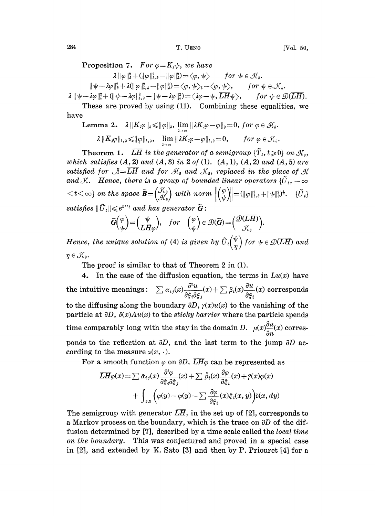Proposition 7. For  $\varphi = K_1 \psi$ , we have  $\lambda \|\varphi\|_a^2 + (\|\varphi\|_{\iota,a}^2 - \|\varphi\|_a^2) = \langle \varphi, \psi \rangle$  for  $\psi \in \mathcal{H}_a$ .  $||\psi-\lambda\varphi||_0^2+\lambda(||\varphi||_{l,s}^2-||\varphi||_0^2)=\langle\varphi,\psi\rangle_l-\langle\varphi,\psi\rangle, \qquad for \ \psi\in\mathcal{K}_s.$  $\lambda \|\psi - \lambda \varphi\|_{l}^{2} + (\|\psi - \lambda \varphi\|_{l,\vartheta}^{2} - \|\psi - \lambda \varphi\|_{\vartheta}^{2}) = \langle \lambda \varphi - \psi, \overline{LH}\psi \rangle, \qquad for \ \psi \in \mathcal{D}(\overline{LH}).$ 

These are proved by using (11). Combining these equalities, we have

Lemma 2.  $\lambda \|K_{\lambda}\varphi\|_{\theta} \leqslant \|\varphi\|_{\theta}$ ,  $\lim_{\lambda \to \infty} \|\lambda K_{\lambda}\varphi - \varphi\|_{\theta} = 0$ , for  $\varphi \in \mathcal{H}_{\theta}$ .  $\lambda \| K_{\lambda} \varphi \|_{l,s} \leqslant \| \varphi \|_{l,s}, \quad \lim_{\lambda \to \infty} \| \lambda K_{\lambda} \varphi - \varphi \|_{l,s} = 0, \quad for \ \varphi \in \mathcal{K}_s.$ 

Theorem 1.  $\overline{LH}$  is the generator of a semigroup  $\{\tilde{T}_t, t\geqslant 0\}$  on  $\mathcal{H}_s$ , which satisfies  $(A, 2)$  and  $(A, 3)$  in 2 of (1).  $(A, 1)$ ,  $(A, 2)$  and  $(A, 5)$  are satisfied for  $\mathcal{A} = \overline{L}\overline{H}$  and for  $\mathcal{A}_s$  and  $\mathcal{K}_s$ , replaced in the place of  $\mathcal{A}$ satisfied for  $A = \overline{LH}$  and for  $\mathcal{H}_s$  and  $\mathcal{K}_s$ , replaced in the place of  $\mathcal{H}$  and  $\mathcal{K}$ . Hence, there is a group of bounded linear operators  $\{\tilde{U}_t, -\infty\}$  $\langle t\langle \infty \rangle$  on the space  $\tilde{\mathbf{B}}=\begin{pmatrix} \mathcal{K}_{\hat{\theta}} \ \mathcal{H}_{\hat{\theta}} \end{pmatrix}$  with norm  $\left\| \begin{pmatrix} \varphi \ \psi \end{pmatrix} \right\|=\left\| \varphi \right\|_{l,\theta}^{2}+\|\psi\|_{\theta}^{2}$ .  $\{\tilde{U}_{l}\}$ satisfies  $\|\tilde{U}_t\| \leqslant e^{b^{\prime\prime}t}$  and has generator  $\tilde{G}$ :

$$
\widetilde{G}\binom{\varphi}{\psi} = \binom{\psi}{LH\varphi}, \quad \text{for} \quad \binom{\varphi}{\psi} \in \mathcal{D}(\widetilde{G}) = \binom{\mathcal{D}(LH)}{\mathcal{K}_{\vartheta}}.
$$

Hence, the unique solution of (4) is given by  $\tilde{U}_t\begin{pmatrix} \psi \\ n \end{pmatrix}$  for  $\psi \in \mathcal{D}(\overline{L}\overline{H})$  and  $\eta \in \mathcal{K}_a$ .

The proof is similar to that of Theorem 2 in (1).

4. In the case of the diffusion equation, the terms in  $Lu(x)$  have the intuitive meanings:  $\sum \alpha_{ij}(x)\frac{\partial^2 u}{\partial \xi_i \partial \xi_j}(x) + \sum \beta_i(x)\frac{\partial u}{\partial \xi_i}(x)$  corresponds to the diffusing along the boundary  $\partial D$ ,  $\gamma(x)u(x)$  to the vanishing of the particle at  $\partial D$ ,  $\delta(x)Au(x)$  to the *sticky barrier* where the particle spends time comparably long with the stay in the domain D.  $\mu(x)\frac{\partial u}{\partial x}(x)$  corresponds to the reflection at  $\partial D$ , and the last term to the jump  $\partial D$  according to the measure  $\nu(x, \cdot)$ .

For a smooth function  $\varphi$  on  $\partial D$ ,  $\overline{LH}\varphi$  can be represented as

$$
\overline{LH}\varphi(x) = \sum \tilde{\alpha}_{ij}(x) \frac{\partial^2 \varphi}{\partial \xi_i \partial \xi_j}(x) + \sum \tilde{\beta}_i(x) \frac{\partial \varphi}{\partial \xi_i}(x) + \tilde{\gamma}(x)\varphi(x) \n+ \int_{\partial D} \left( \varphi(y) - \varphi(y) - \sum \frac{\partial \varphi}{\partial \xi_i}(x) \xi_i(x, y) \right) \tilde{\varphi}(x, dy)
$$

The semigroup with generator  $L\overline{H}$ , in the set up of [2], corresponds to a Markov process on the boundary, which is the trace on  $\partial D$  of the diffusion determined by [7], described by a time scale called the local time on the boundary. This was conjectured and proved in a special case in  $[2]$ , and extended by K. Sato  $[3]$  and then by P. Priouret  $[4]$  for a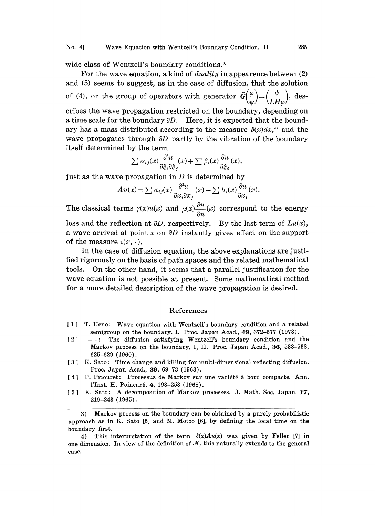## No. 4] Wave Equation with Wentzell's Boundary Condition. II 285

wide class of Wentzell's boundary conditions.<sup>3)</sup>

For the wave equation, a kind of *duality* in appearence between  $(2)$ and (5) seems to suggest, as in the case of diffusion, that the solution of (4), or the group of operators with generator  $\tilde{G}\binom{\varphi}{\psi} = \left(\frac{\psi}{LH\omega}\right)$ , describes the wave propagation restricted on the boundary, depending on a time scale for the boundary  $\partial D$ . Here, it is expected that the boundary has a mass distributed according to the measure  $\delta(x)dx,$ <sup>41</sup> and the wave propagates through  $\partial D$  partly by the vibration of the boundary itself determined by the term

$$
\sum \alpha_{ij}(x) \frac{\partial^2 u}{\partial \xi_i \partial \xi_j}(x) + \sum \beta_i(x) \frac{\partial u}{\partial \xi_i}(x),
$$

just as the wave propagation in  $D$  is determined by

$$
Au(x) = \sum a_{ij}(x) \frac{\partial^2 u}{\partial x_i \partial x_j}(x) + \sum b_i(x) \frac{\partial u}{\partial x_i}(x).
$$

The classical terms  $\gamma(x)u(x)$  and  $\mu(x)\frac{\partial u}{\partial x}(x)$  correspond to the energy

loss and the reflection at  $\partial D$ , respectively. By the last term of  $Lu(x)$ , a wave arrived at point  $x$  on  $\partial D$  instantly gives effect on the support of the measure  $\nu(x, \cdot)$ .

In the case of diffusion equation, the above explanations are justifled rigorously on the basis of path spaces and the related mathematical tools. On the other hand, it seems that a parallel justification for the wave equation is not possible at present. Some mathematical method for a more detailed description of the wave propagation is desired.

## References

- [1] T. Ueno: Wave equation with Wentzell's boundary condition and a related semigroup on the boundary. I. Proc. Japan Acad.,  $49.672-677$  (1973).
- $\lceil 2 \rceil$  The diffusion satisfying Wentzell's boundary condition and the Markov process on the boundary. I, II. Proc. Japan Acad., 36, 533-538, 625-629 (1960).
- [3] K. Sato: Time change and killing for multi-dimensional reflecting diffusion. Proc. Japan Acad., 39, 69-73 (1963).
- [4] P. Priouret: Processus de Markov sur une variété à bord compacte. Ann. l'Inst. H. Poincaré, 4, 193-253 (1968).
- [5] K. Sato: A decomposition of Markov processes. J. Math. Soc. Japan, 17, 219-243 (1965).

<sup>3)</sup> Markov process on the boundary can be obtained by a purely probabilistic approach as in K. Sato [5] and M. Motoo [6], by defining the local time on the. boundary first.

<sup>4)</sup> This interpretation of the term  $\delta(x)Au(x)$  was given by Feller [7] in one dimension. In view of the definition of  $\mathcal{H}$ , this naturally extends to the general case.